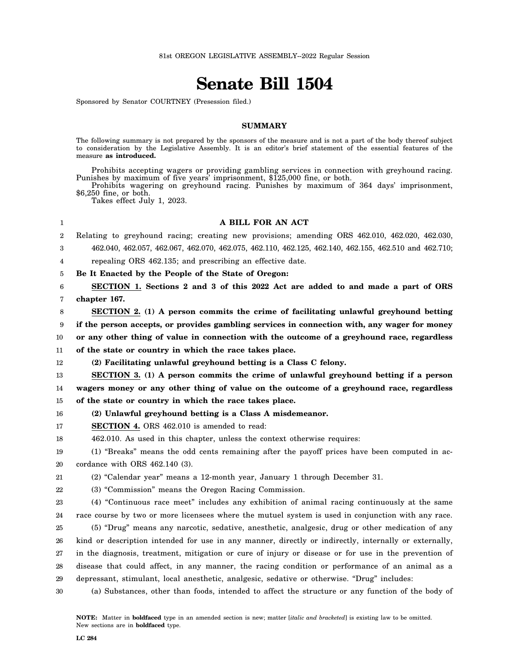# **Senate Bill 1504**

Sponsored by Senator COURTNEY (Presession filed.)

#### **SUMMARY**

The following summary is not prepared by the sponsors of the measure and is not a part of the body thereof subject to consideration by the Legislative Assembly. It is an editor's brief statement of the essential features of the measure **as introduced.**

Prohibits accepting wagers or providing gambling services in connection with greyhound racing. Punishes by maximum of five years' imprisonment, \$125,000 fine, or both.

Prohibits wagering on greyhound racing. Punishes by maximum of 364 days' imprisonment, \$6,250 fine, or both.

Takes effect July 1, 2023.

1

## **A BILL FOR AN ACT**

2 3 Relating to greyhound racing; creating new provisions; amending ORS 462.010, 462.020, 462.030, 462.040, 462.057, 462.067, 462.070, 462.075, 462.110, 462.125, 462.140, 462.155, 462.510 and 462.710;

4 repealing ORS 462.135; and prescribing an effective date.

5 **Be It Enacted by the People of the State of Oregon:**

6 7 **SECTION 1. Sections 2 and 3 of this 2022 Act are added to and made a part of ORS chapter 167.**

8 **SECTION 2. (1) A person commits the crime of facilitating unlawful greyhound betting**

9 **if the person accepts, or provides gambling services in connection with, any wager for money**

10 **or any other thing of value in connection with the outcome of a greyhound race, regardless**

11 **of the state or country in which the race takes place.**

```
12
(2) Facilitating unlawful greyhound betting is a Class C felony.
```
13 14 **SECTION 3. (1) A person commits the crime of unlawful greyhound betting if a person wagers money or any other thing of value on the outcome of a greyhound race, regardless**

15 **of the state or country in which the race takes place.**

16 **(2) Unlawful greyhound betting is a Class A misdemeanor.**

17 **SECTION 4.** ORS 462.010 is amended to read:

18 462.010. As used in this chapter, unless the context otherwise requires:

19 20 (1) "Breaks" means the odd cents remaining after the payoff prices have been computed in accordance with ORS 462.140 (3).

21 (2) "Calendar year" means a 12-month year, January 1 through December 31.

22 (3) "Commission" means the Oregon Racing Commission.

23 24 25 26 27 28 (4) "Continuous race meet" includes any exhibition of animal racing continuously at the same race course by two or more licensees where the mutuel system is used in conjunction with any race. (5) "Drug" means any narcotic, sedative, anesthetic, analgesic, drug or other medication of any kind or description intended for use in any manner, directly or indirectly, internally or externally, in the diagnosis, treatment, mitigation or cure of injury or disease or for use in the prevention of disease that could affect, in any manner, the racing condition or performance of an animal as a

- 29 depressant, stimulant, local anesthetic, analgesic, sedative or otherwise. "Drug" includes:
- 30 (a) Substances, other than foods, intended to affect the structure or any function of the body of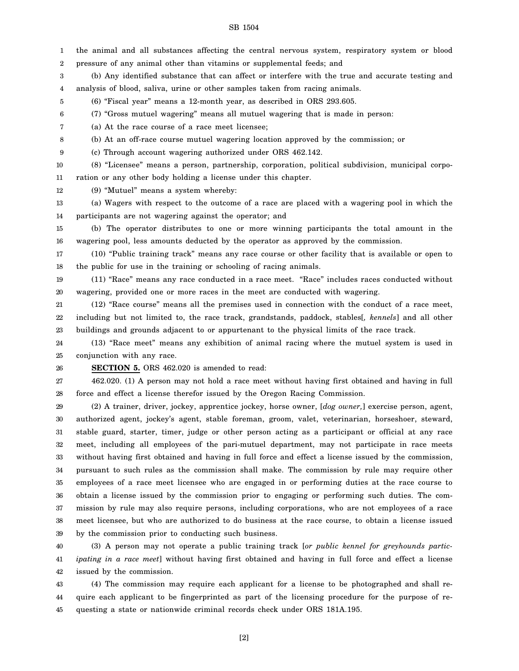1 2 3 4 5 6 7 8 9 10 11 12 13 14 15 16 17 18 19 20 21 22 23 24 25 26 the animal and all substances affecting the central nervous system, respiratory system or blood pressure of any animal other than vitamins or supplemental feeds; and (b) Any identified substance that can affect or interfere with the true and accurate testing and analysis of blood, saliva, urine or other samples taken from racing animals. (6) "Fiscal year" means a 12-month year, as described in ORS 293.605. (7) "Gross mutuel wagering" means all mutuel wagering that is made in person: (a) At the race course of a race meet licensee; (b) At an off-race course mutuel wagering location approved by the commission; or (c) Through account wagering authorized under ORS 462.142. (8) "Licensee" means a person, partnership, corporation, political subdivision, municipal corporation or any other body holding a license under this chapter. (9) "Mutuel" means a system whereby: (a) Wagers with respect to the outcome of a race are placed with a wagering pool in which the participants are not wagering against the operator; and (b) The operator distributes to one or more winning participants the total amount in the wagering pool, less amounts deducted by the operator as approved by the commission. (10) "Public training track" means any race course or other facility that is available or open to the public for use in the training or schooling of racing animals. (11) "Race" means any race conducted in a race meet. "Race" includes races conducted without wagering, provided one or more races in the meet are conducted with wagering. (12) "Race course" means all the premises used in connection with the conduct of a race meet, including but not limited to, the race track, grandstands, paddock, stables[*, kennels*] and all other buildings and grounds adjacent to or appurtenant to the physical limits of the race track. (13) "Race meet" means any exhibition of animal racing where the mutuel system is used in conjunction with any race. **SECTION 5.** ORS 462.020 is amended to read:

27 28 462.020. (1) A person may not hold a race meet without having first obtained and having in full force and effect a license therefor issued by the Oregon Racing Commission.

29 30 31 32 33 34 35 36 37 38 39 (2) A trainer, driver, jockey, apprentice jockey, horse owner, [*dog owner,*] exercise person, agent, authorized agent, jockey's agent, stable foreman, groom, valet, veterinarian, horseshoer, steward, stable guard, starter, timer, judge or other person acting as a participant or official at any race meet, including all employees of the pari-mutuel department, may not participate in race meets without having first obtained and having in full force and effect a license issued by the commission, pursuant to such rules as the commission shall make. The commission by rule may require other employees of a race meet licensee who are engaged in or performing duties at the race course to obtain a license issued by the commission prior to engaging or performing such duties. The commission by rule may also require persons, including corporations, who are not employees of a race meet licensee, but who are authorized to do business at the race course, to obtain a license issued by the commission prior to conducting such business.

40 41 42 (3) A person may not operate a public training track [*or public kennel for greyhounds participating in a race meet*] without having first obtained and having in full force and effect a license issued by the commission.

43 44 45 (4) The commission may require each applicant for a license to be photographed and shall require each applicant to be fingerprinted as part of the licensing procedure for the purpose of requesting a state or nationwide criminal records check under ORS 181A.195.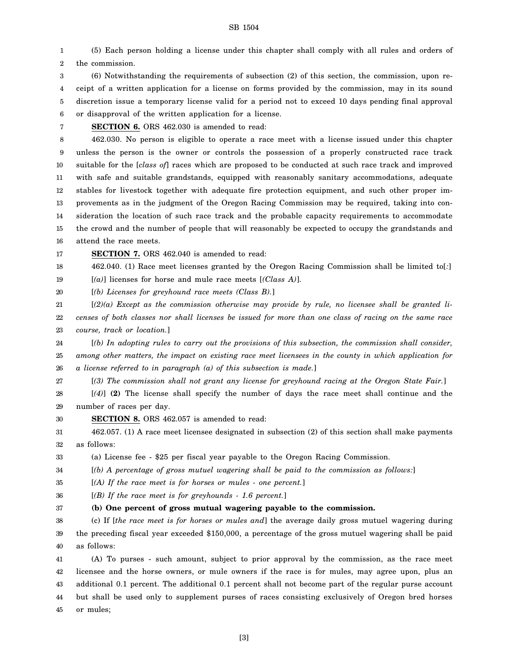1 2 (5) Each person holding a license under this chapter shall comply with all rules and orders of the commission.

3 4 5 6 (6) Notwithstanding the requirements of subsection (2) of this section, the commission, upon receipt of a written application for a license on forms provided by the commission, may in its sound discretion issue a temporary license valid for a period not to exceed 10 days pending final approval or disapproval of the written application for a license.

7

**SECTION 6.** ORS 462.030 is amended to read:

8 9 10 11 12 13 14 15 16 462.030. No person is eligible to operate a race meet with a license issued under this chapter unless the person is the owner or controls the possession of a properly constructed race track suitable for the [*class of*] races which are proposed to be conducted at such race track and improved with safe and suitable grandstands, equipped with reasonably sanitary accommodations, adequate stables for livestock together with adequate fire protection equipment, and such other proper improvements as in the judgment of the Oregon Racing Commission may be required, taking into consideration the location of such race track and the probable capacity requirements to accommodate the crowd and the number of people that will reasonably be expected to occupy the grandstands and attend the race meets.

17

**SECTION 7.** ORS 462.040 is amended to read:

18 462.040. (1) Race meet licenses granted by the Oregon Racing Commission shall be limited to[*:*]

19 [*(a)*] licenses for horse and mule race meets [*(Class A)*].

20 [*(b) Licenses for greyhound race meets (Class B).*]

21 22 23 [*(2)(a) Except as the commission otherwise may provide by rule, no licensee shall be granted licenses of both classes nor shall licenses be issued for more than one class of racing on the same race course, track or location.*]

24 25 26 [*(b) In adopting rules to carry out the provisions of this subsection, the commission shall consider, among other matters, the impact on existing race meet licensees in the county in which application for a license referred to in paragraph (a) of this subsection is made.*]

27 [*(3) The commission shall not grant any license for greyhound racing at the Oregon State Fair.*]

28 29 [*(4)*] **(2)** The license shall specify the number of days the race meet shall continue and the number of races per day.

30 **SECTION 8.** ORS 462.057 is amended to read:

31 32 462.057. (1) A race meet licensee designated in subsection (2) of this section shall make payments as follows:

33 (a) License fee - \$25 per fiscal year payable to the Oregon Racing Commission.

34 [*(b) A percentage of gross mutuel wagering shall be paid to the commission as follows:*]

35 [*(A) If the race meet is for horses or mules - one percent.*]

36 [*(B) If the race meet is for greyhounds - 1.6 percent.*]

37 **(b) One percent of gross mutual wagering payable to the commission.**

38 39 40 (c) If [*the race meet is for horses or mules and*] the average daily gross mutuel wagering during the preceding fiscal year exceeded \$150,000, a percentage of the gross mutuel wagering shall be paid as follows:

41 42 43 44 45 (A) To purses - such amount, subject to prior approval by the commission, as the race meet licensee and the horse owners, or mule owners if the race is for mules, may agree upon, plus an additional 0.1 percent. The additional 0.1 percent shall not become part of the regular purse account but shall be used only to supplement purses of races consisting exclusively of Oregon bred horses or mules;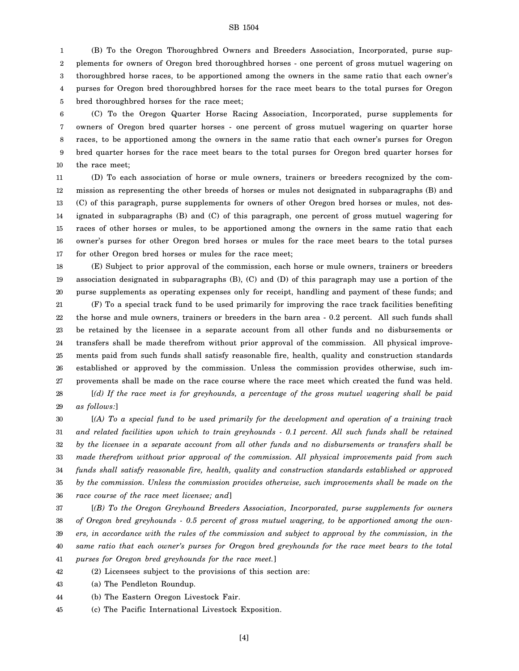1 2 3 4 5 (B) To the Oregon Thoroughbred Owners and Breeders Association, Incorporated, purse supplements for owners of Oregon bred thoroughbred horses - one percent of gross mutuel wagering on thoroughbred horse races, to be apportioned among the owners in the same ratio that each owner's purses for Oregon bred thoroughbred horses for the race meet bears to the total purses for Oregon bred thoroughbred horses for the race meet;

6 7 8 9 10 (C) To the Oregon Quarter Horse Racing Association, Incorporated, purse supplements for owners of Oregon bred quarter horses - one percent of gross mutuel wagering on quarter horse races, to be apportioned among the owners in the same ratio that each owner's purses for Oregon bred quarter horses for the race meet bears to the total purses for Oregon bred quarter horses for the race meet;

11 12 13 14 15 16 17 (D) To each association of horse or mule owners, trainers or breeders recognized by the commission as representing the other breeds of horses or mules not designated in subparagraphs (B) and (C) of this paragraph, purse supplements for owners of other Oregon bred horses or mules, not designated in subparagraphs (B) and (C) of this paragraph, one percent of gross mutuel wagering for races of other horses or mules, to be apportioned among the owners in the same ratio that each owner's purses for other Oregon bred horses or mules for the race meet bears to the total purses for other Oregon bred horses or mules for the race meet;

18 19 20 (E) Subject to prior approval of the commission, each horse or mule owners, trainers or breeders association designated in subparagraphs (B), (C) and (D) of this paragraph may use a portion of the purse supplements as operating expenses only for receipt, handling and payment of these funds; and

21 22 23 24 25 26 27 28 29 (F) To a special track fund to be used primarily for improving the race track facilities benefiting the horse and mule owners, trainers or breeders in the barn area - 0.2 percent. All such funds shall be retained by the licensee in a separate account from all other funds and no disbursements or transfers shall be made therefrom without prior approval of the commission. All physical improvements paid from such funds shall satisfy reasonable fire, health, quality and construction standards established or approved by the commission. Unless the commission provides otherwise, such improvements shall be made on the race course where the race meet which created the fund was held. [*(d) If the race meet is for greyhounds, a percentage of the gross mutuel wagering shall be paid as follows:*]

30 31 32 33 34 35 36 [*(A) To a special fund to be used primarily for the development and operation of a training track and related facilities upon which to train greyhounds - 0.1 percent. All such funds shall be retained by the licensee in a separate account from all other funds and no disbursements or transfers shall be made therefrom without prior approval of the commission. All physical improvements paid from such funds shall satisfy reasonable fire, health, quality and construction standards established or approved by the commission. Unless the commission provides otherwise, such improvements shall be made on the race course of the race meet licensee; and*]

37 38 39 40 41 [*(B) To the Oregon Greyhound Breeders Association, Incorporated, purse supplements for owners of Oregon bred greyhounds - 0.5 percent of gross mutuel wagering, to be apportioned among the owners, in accordance with the rules of the commission and subject to approval by the commission, in the same ratio that each owner's purses for Oregon bred greyhounds for the race meet bears to the total purses for Oregon bred greyhounds for the race meet.*]

42 (2) Licensees subject to the provisions of this section are:

43 (a) The Pendleton Roundup.

44 (b) The Eastern Oregon Livestock Fair.

45 (c) The Pacific International Livestock Exposition.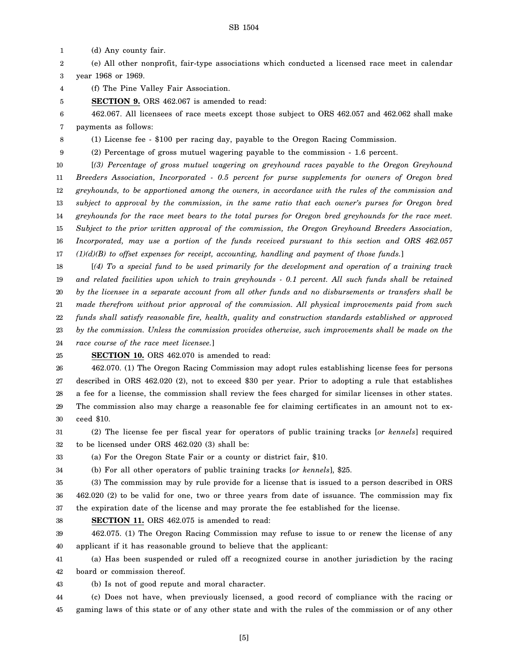1 (d) Any county fair.

2 3 (e) All other nonprofit, fair-type associations which conducted a licensed race meet in calendar year 1968 or 1969.

4 (f) The Pine Valley Fair Association.

5 **SECTION 9.** ORS 462.067 is amended to read:

6 7 462.067. All licensees of race meets except those subject to ORS 462.057 and 462.062 shall make payments as follows:

8 (1) License fee - \$100 per racing day, payable to the Oregon Racing Commission.

9 (2) Percentage of gross mutuel wagering payable to the commission - 1.6 percent.

10 11 12 13 14 15 16 17 [*(3) Percentage of gross mutuel wagering on greyhound races payable to the Oregon Greyhound Breeders Association, Incorporated - 0.5 percent for purse supplements for owners of Oregon bred greyhounds, to be apportioned among the owners, in accordance with the rules of the commission and subject to approval by the commission, in the same ratio that each owner's purses for Oregon bred greyhounds for the race meet bears to the total purses for Oregon bred greyhounds for the race meet. Subject to the prior written approval of the commission, the Oregon Greyhound Breeders Association, Incorporated, may use a portion of the funds received pursuant to this section and ORS 462.057 (1)(d)(B) to offset expenses for receipt, accounting, handling and payment of those funds.*]

18 19 20 21 22 23 24 [*(4) To a special fund to be used primarily for the development and operation of a training track and related facilities upon which to train greyhounds - 0.1 percent. All such funds shall be retained by the licensee in a separate account from all other funds and no disbursements or transfers shall be made therefrom without prior approval of the commission. All physical improvements paid from such funds shall satisfy reasonable fire, health, quality and construction standards established or approved by the commission. Unless the commission provides otherwise, such improvements shall be made on the*

*race course of the race meet licensee.*]

25 **SECTION 10.** ORS 462.070 is amended to read:

26 27 28 29 30 462.070. (1) The Oregon Racing Commission may adopt rules establishing license fees for persons described in ORS 462.020 (2), not to exceed \$30 per year. Prior to adopting a rule that establishes a fee for a license, the commission shall review the fees charged for similar licenses in other states. The commission also may charge a reasonable fee for claiming certificates in an amount not to exceed \$10.

31 32 (2) The license fee per fiscal year for operators of public training tracks [*or kennels*] required to be licensed under ORS 462.020 (3) shall be:

33 (a) For the Oregon State Fair or a county or district fair, \$10.

34

(b) For all other operators of public training tracks [*or kennels*], \$25.

35 36 37 (3) The commission may by rule provide for a license that is issued to a person described in ORS 462.020 (2) to be valid for one, two or three years from date of issuance. The commission may fix the expiration date of the license and may prorate the fee established for the license.

38 **SECTION 11.** ORS 462.075 is amended to read:

39 40 462.075. (1) The Oregon Racing Commission may refuse to issue to or renew the license of any applicant if it has reasonable ground to believe that the applicant:

41 42 (a) Has been suspended or ruled off a recognized course in another jurisdiction by the racing board or commission thereof.

43 (b) Is not of good repute and moral character.

44 45 (c) Does not have, when previously licensed, a good record of compliance with the racing or gaming laws of this state or of any other state and with the rules of the commission or of any other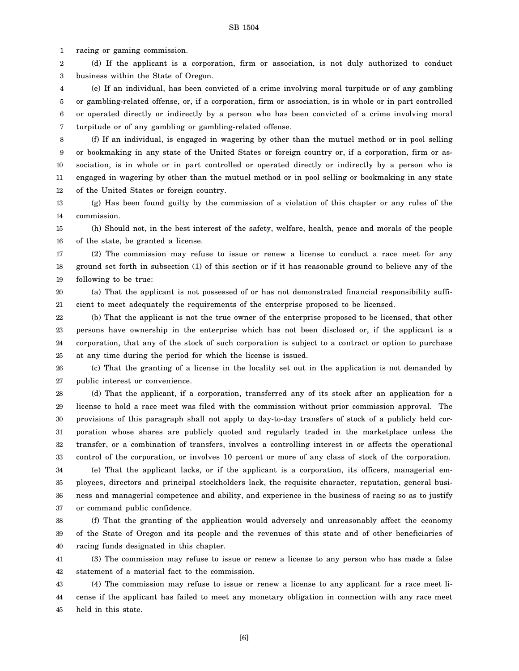1 racing or gaming commission.

2 3 (d) If the applicant is a corporation, firm or association, is not duly authorized to conduct business within the State of Oregon.

4 5 6 7 (e) If an individual, has been convicted of a crime involving moral turpitude or of any gambling or gambling-related offense, or, if a corporation, firm or association, is in whole or in part controlled or operated directly or indirectly by a person who has been convicted of a crime involving moral turpitude or of any gambling or gambling-related offense.

8 9 10 11 12 (f) If an individual, is engaged in wagering by other than the mutuel method or in pool selling or bookmaking in any state of the United States or foreign country or, if a corporation, firm or association, is in whole or in part controlled or operated directly or indirectly by a person who is engaged in wagering by other than the mutuel method or in pool selling or bookmaking in any state of the United States or foreign country.

13 14 (g) Has been found guilty by the commission of a violation of this chapter or any rules of the commission.

15 16 (h) Should not, in the best interest of the safety, welfare, health, peace and morals of the people of the state, be granted a license.

17 18 19 (2) The commission may refuse to issue or renew a license to conduct a race meet for any ground set forth in subsection (1) of this section or if it has reasonable ground to believe any of the following to be true:

20 21 (a) That the applicant is not possessed of or has not demonstrated financial responsibility sufficient to meet adequately the requirements of the enterprise proposed to be licensed.

22 23 24 25 (b) That the applicant is not the true owner of the enterprise proposed to be licensed, that other persons have ownership in the enterprise which has not been disclosed or, if the applicant is a corporation, that any of the stock of such corporation is subject to a contract or option to purchase at any time during the period for which the license is issued.

26 27 (c) That the granting of a license in the locality set out in the application is not demanded by public interest or convenience.

28 29 30 31 32 33 (d) That the applicant, if a corporation, transferred any of its stock after an application for a license to hold a race meet was filed with the commission without prior commission approval. The provisions of this paragraph shall not apply to day-to-day transfers of stock of a publicly held corporation whose shares are publicly quoted and regularly traded in the marketplace unless the transfer, or a combination of transfers, involves a controlling interest in or affects the operational control of the corporation, or involves 10 percent or more of any class of stock of the corporation.

34 35 36 37 (e) That the applicant lacks, or if the applicant is a corporation, its officers, managerial employees, directors and principal stockholders lack, the requisite character, reputation, general business and managerial competence and ability, and experience in the business of racing so as to justify or command public confidence.

38 39 40 (f) That the granting of the application would adversely and unreasonably affect the economy of the State of Oregon and its people and the revenues of this state and of other beneficiaries of racing funds designated in this chapter.

41 42 (3) The commission may refuse to issue or renew a license to any person who has made a false statement of a material fact to the commission.

43 44 45 (4) The commission may refuse to issue or renew a license to any applicant for a race meet license if the applicant has failed to meet any monetary obligation in connection with any race meet held in this state.

[6]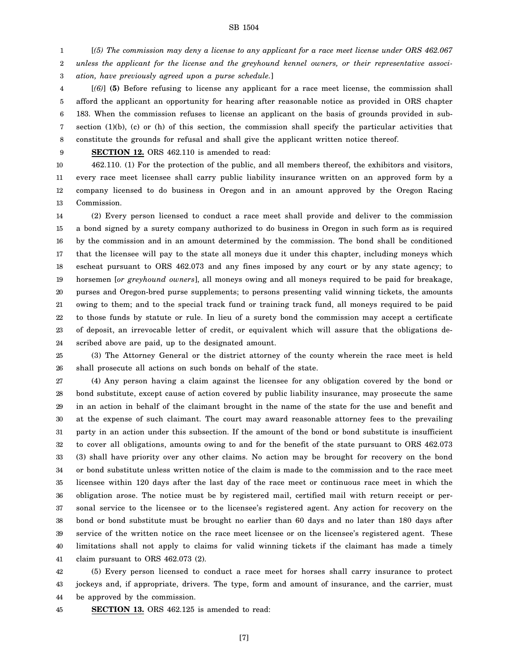1 2 3 [*(5) The commission may deny a license to any applicant for a race meet license under ORS 462.067 unless the applicant for the license and the greyhound kennel owners, or their representative association, have previously agreed upon a purse schedule.*]

4 5 6 7 8 [*(6)*] **(5)** Before refusing to license any applicant for a race meet license, the commission shall afford the applicant an opportunity for hearing after reasonable notice as provided in ORS chapter 183. When the commission refuses to license an applicant on the basis of grounds provided in subsection (1)(b), (c) or (h) of this section, the commission shall specify the particular activities that constitute the grounds for refusal and shall give the applicant written notice thereof.

9

**SECTION 12.** ORS 462.110 is amended to read:

10 11 12 13 462.110. (1) For the protection of the public, and all members thereof, the exhibitors and visitors, every race meet licensee shall carry public liability insurance written on an approved form by a company licensed to do business in Oregon and in an amount approved by the Oregon Racing Commission.

14 15 16 17 18 19 20 21 22 23 24 (2) Every person licensed to conduct a race meet shall provide and deliver to the commission a bond signed by a surety company authorized to do business in Oregon in such form as is required by the commission and in an amount determined by the commission. The bond shall be conditioned that the licensee will pay to the state all moneys due it under this chapter, including moneys which escheat pursuant to ORS 462.073 and any fines imposed by any court or by any state agency; to horsemen [*or greyhound owners*], all moneys owing and all moneys required to be paid for breakage, purses and Oregon-bred purse supplements; to persons presenting valid winning tickets, the amounts owing to them; and to the special track fund or training track fund, all moneys required to be paid to those funds by statute or rule. In lieu of a surety bond the commission may accept a certificate of deposit, an irrevocable letter of credit, or equivalent which will assure that the obligations described above are paid, up to the designated amount.

25 26 (3) The Attorney General or the district attorney of the county wherein the race meet is held shall prosecute all actions on such bonds on behalf of the state.

27 28 29 30 31 32 33 34 35 36 37 38 39 40 41 (4) Any person having a claim against the licensee for any obligation covered by the bond or bond substitute, except cause of action covered by public liability insurance, may prosecute the same in an action in behalf of the claimant brought in the name of the state for the use and benefit and at the expense of such claimant. The court may award reasonable attorney fees to the prevailing party in an action under this subsection. If the amount of the bond or bond substitute is insufficient to cover all obligations, amounts owing to and for the benefit of the state pursuant to ORS 462.073 (3) shall have priority over any other claims. No action may be brought for recovery on the bond or bond substitute unless written notice of the claim is made to the commission and to the race meet licensee within 120 days after the last day of the race meet or continuous race meet in which the obligation arose. The notice must be by registered mail, certified mail with return receipt or personal service to the licensee or to the licensee's registered agent. Any action for recovery on the bond or bond substitute must be brought no earlier than 60 days and no later than 180 days after service of the written notice on the race meet licensee or on the licensee's registered agent. These limitations shall not apply to claims for valid winning tickets if the claimant has made a timely claim pursuant to ORS 462.073 (2).

42 43 44 (5) Every person licensed to conduct a race meet for horses shall carry insurance to protect jockeys and, if appropriate, drivers. The type, form and amount of insurance, and the carrier, must be approved by the commission.

45 **SECTION 13.** ORS 462.125 is amended to read: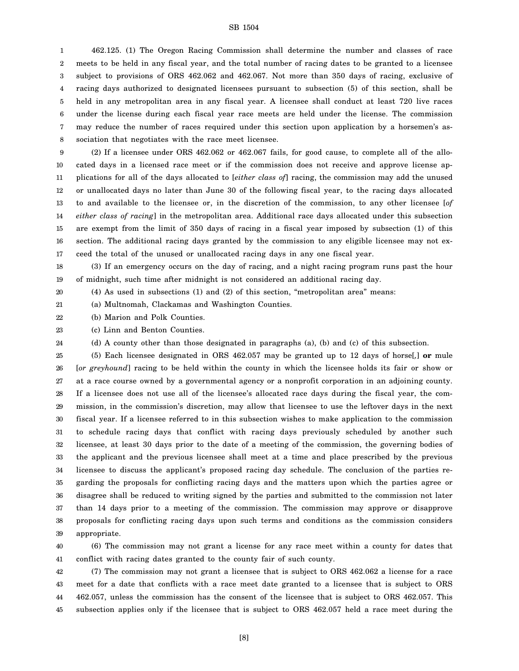1 2 3 4 5 6 7 8 462.125. (1) The Oregon Racing Commission shall determine the number and classes of race meets to be held in any fiscal year, and the total number of racing dates to be granted to a licensee subject to provisions of ORS 462.062 and 462.067. Not more than 350 days of racing, exclusive of racing days authorized to designated licensees pursuant to subsection (5) of this section, shall be held in any metropolitan area in any fiscal year. A licensee shall conduct at least 720 live races under the license during each fiscal year race meets are held under the license. The commission may reduce the number of races required under this section upon application by a horsemen's association that negotiates with the race meet licensee.

9 10 11 12 13 14 15 16 17 (2) If a licensee under ORS 462.062 or 462.067 fails, for good cause, to complete all of the allocated days in a licensed race meet or if the commission does not receive and approve license applications for all of the days allocated to [*either class of*] racing, the commission may add the unused or unallocated days no later than June 30 of the following fiscal year, to the racing days allocated to and available to the licensee or, in the discretion of the commission, to any other licensee [*of either class of racing*] in the metropolitan area. Additional race days allocated under this subsection are exempt from the limit of 350 days of racing in a fiscal year imposed by subsection (1) of this section. The additional racing days granted by the commission to any eligible licensee may not exceed the total of the unused or unallocated racing days in any one fiscal year.

18 19 (3) If an emergency occurs on the day of racing, and a night racing program runs past the hour of midnight, such time after midnight is not considered an additional racing day.

(4) As used in subsections (1) and (2) of this section, "metropolitan area" means:

21 (a) Multnomah, Clackamas and Washington Counties.

22 (b) Marion and Polk Counties.

20

23 (c) Linn and Benton Counties.

24 (d) A county other than those designated in paragraphs (a), (b) and (c) of this subsection.

25 26 27 28 29 30 31 32 33 34 35 36 37 38 39 (5) Each licensee designated in ORS 462.057 may be granted up to 12 days of horse[*,*] **or** mule [*or greyhound*] racing to be held within the county in which the licensee holds its fair or show or at a race course owned by a governmental agency or a nonprofit corporation in an adjoining county. If a licensee does not use all of the licensee's allocated race days during the fiscal year, the commission, in the commission's discretion, may allow that licensee to use the leftover days in the next fiscal year. If a licensee referred to in this subsection wishes to make application to the commission to schedule racing days that conflict with racing days previously scheduled by another such licensee, at least 30 days prior to the date of a meeting of the commission, the governing bodies of the applicant and the previous licensee shall meet at a time and place prescribed by the previous licensee to discuss the applicant's proposed racing day schedule. The conclusion of the parties regarding the proposals for conflicting racing days and the matters upon which the parties agree or disagree shall be reduced to writing signed by the parties and submitted to the commission not later than 14 days prior to a meeting of the commission. The commission may approve or disapprove proposals for conflicting racing days upon such terms and conditions as the commission considers appropriate.

40 41 (6) The commission may not grant a license for any race meet within a county for dates that conflict with racing dates granted to the county fair of such county.

42 43 44 45 (7) The commission may not grant a licensee that is subject to ORS 462.062 a license for a race meet for a date that conflicts with a race meet date granted to a licensee that is subject to ORS 462.057, unless the commission has the consent of the licensee that is subject to ORS 462.057. This subsection applies only if the licensee that is subject to ORS 462.057 held a race meet during the

[8]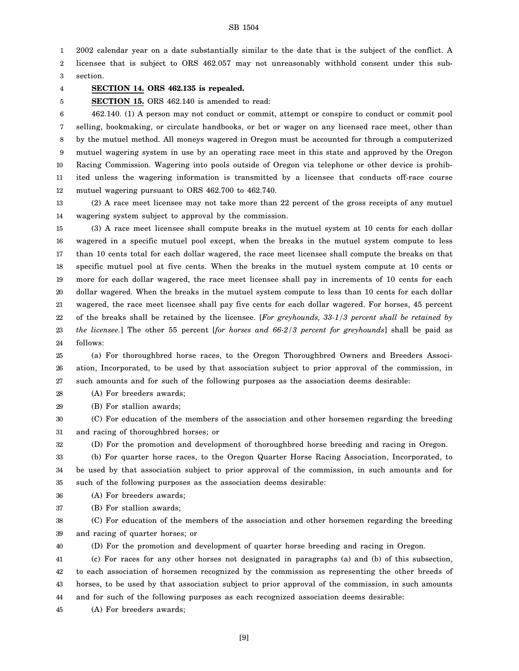1 2002 calendar year on a date substantially similar to the date that is the subject of the conflict. A

2 3 licensee that is subject to ORS 462.057 may not unreasonably withhold consent under this subsection.

4

5

### **SECTION 14. ORS 462.135 is repealed.**

**SECTION 15.** ORS 462.140 is amended to read:

6 7 8 9 10 11 12 462.140. (1) A person may not conduct or commit, attempt or conspire to conduct or commit pool selling, bookmaking, or circulate handbooks, or bet or wager on any licensed race meet, other than by the mutuel method. All moneys wagered in Oregon must be accounted for through a computerized mutuel wagering system in use by an operating race meet in this state and approved by the Oregon Racing Commission. Wagering into pools outside of Oregon via telephone or other device is prohibited unless the wagering information is transmitted by a licensee that conducts off-race course mutuel wagering pursuant to ORS 462.700 to 462.740.

13 14 (2) A race meet licensee may not take more than 22 percent of the gross receipts of any mutuel wagering system subject to approval by the commission.

15 16 17 18 19 20 21 22 23 24 (3) A race meet licensee shall compute breaks in the mutuel system at 10 cents for each dollar wagered in a specific mutuel pool except, when the breaks in the mutuel system compute to less than 10 cents total for each dollar wagered, the race meet licensee shall compute the breaks on that specific mutuel pool at five cents. When the breaks in the mutuel system compute at 10 cents or more for each dollar wagered, the race meet licensee shall pay in increments of 10 cents for each dollar wagered. When the breaks in the mutuel system compute to less than 10 cents for each dollar wagered, the race meet licensee shall pay five cents for each dollar wagered. For horses, 45 percent of the breaks shall be retained by the licensee. [*For greyhounds, 33-1/3 percent shall be retained by the licensee.*] The other 55 percent [*for horses and 66-2/3 percent for greyhounds*] shall be paid as follows:

25 26 27 (a) For thoroughbred horse races, to the Oregon Thoroughbred Owners and Breeders Association, Incorporated, to be used by that association subject to prior approval of the commission, in such amounts and for such of the following purposes as the association deems desirable:

28 (A) For breeders awards;

29 (B) For stallion awards;

30 31 (C) For education of the members of the association and other horsemen regarding the breeding and racing of thoroughbred horses; or

32 (D) For the promotion and development of thoroughbred horse breeding and racing in Oregon.

33 34 35 (b) For quarter horse races, to the Oregon Quarter Horse Racing Association, Incorporated, to be used by that association subject to prior approval of the commission, in such amounts and for such of the following purposes as the association deems desirable:

36 (A) For breeders awards;

37 (B) For stallion awards;

38 39 (C) For education of the members of the association and other horsemen regarding the breeding and racing of quarter horses; or

40 (D) For the promotion and development of quarter horse breeding and racing in Oregon.

41 42 43 44 (c) For races for any other horses not designated in paragraphs (a) and (b) of this subsection, to each association of horsemen recognized by the commission as representing the other breeds of horses, to be used by that association subject to prior approval of the commission, in such amounts and for such of the following purposes as each recognized association deems desirable:

45 (A) For breeders awards;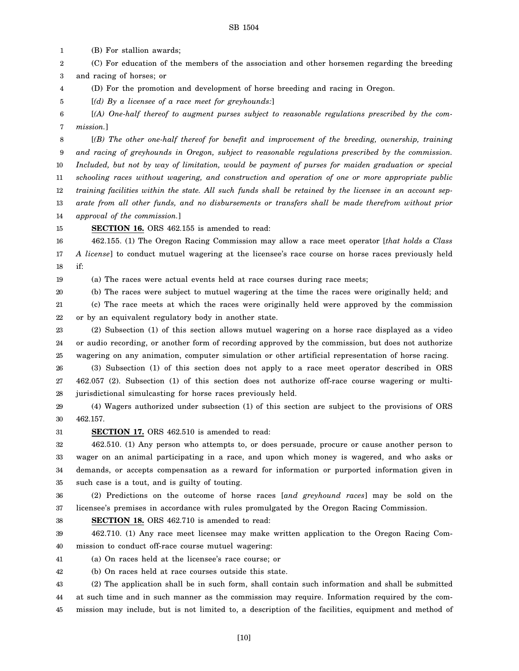1 (B) For stallion awards;

2 3 (C) For education of the members of the association and other horsemen regarding the breeding and racing of horses; or

4 (D) For the promotion and development of horse breeding and racing in Oregon.

[*(d) By a licensee of a race meet for greyhounds:*]

6 7 [*(A) One-half thereof to augment purses subject to reasonable regulations prescribed by the commission.*]

8 9 10 11 12 13 14 [*(B) The other one-half thereof for benefit and improvement of the breeding, ownership, training and racing of greyhounds in Oregon, subject to reasonable regulations prescribed by the commission. Included, but not by way of limitation, would be payment of purses for maiden graduation or special schooling races without wagering, and construction and operation of one or more appropriate public training facilities within the state. All such funds shall be retained by the licensee in an account separate from all other funds, and no disbursements or transfers shall be made therefrom without prior approval of the commission.*]

15 **SECTION 16.** ORS 462.155 is amended to read:

16 17 18 462.155. (1) The Oregon Racing Commission may allow a race meet operator [*that holds a Class A license*] to conduct mutuel wagering at the licensee's race course on horse races previously held if:

19

5

(a) The races were actual events held at race courses during race meets;

20 (b) The races were subject to mutuel wagering at the time the races were originally held; and

21 22 (c) The race meets at which the races were originally held were approved by the commission or by an equivalent regulatory body in another state.

23 24 25 (2) Subsection (1) of this section allows mutuel wagering on a horse race displayed as a video or audio recording, or another form of recording approved by the commission, but does not authorize wagering on any animation, computer simulation or other artificial representation of horse racing.

26 27 28 (3) Subsection (1) of this section does not apply to a race meet operator described in ORS 462.057 (2). Subsection (1) of this section does not authorize off-race course wagering or multijurisdictional simulcasting for horse races previously held.

29 30 (4) Wagers authorized under subsection (1) of this section are subject to the provisions of ORS 462.157.

31 **SECTION 17.** ORS 462.510 is amended to read:

32 33 34 35 462.510. (1) Any person who attempts to, or does persuade, procure or cause another person to wager on an animal participating in a race, and upon which money is wagered, and who asks or demands, or accepts compensation as a reward for information or purported information given in such case is a tout, and is guilty of touting.

36 37 (2) Predictions on the outcome of horse races [*and greyhound races*] may be sold on the licensee's premises in accordance with rules promulgated by the Oregon Racing Commission.

38

**SECTION 18.** ORS 462.710 is amended to read:

39 40 462.710. (1) Any race meet licensee may make written application to the Oregon Racing Commission to conduct off-race course mutuel wagering:

41 (a) On races held at the licensee's race course; or

42 (b) On races held at race courses outside this state.

43 44 45 (2) The application shall be in such form, shall contain such information and shall be submitted at such time and in such manner as the commission may require. Information required by the commission may include, but is not limited to, a description of the facilities, equipment and method of